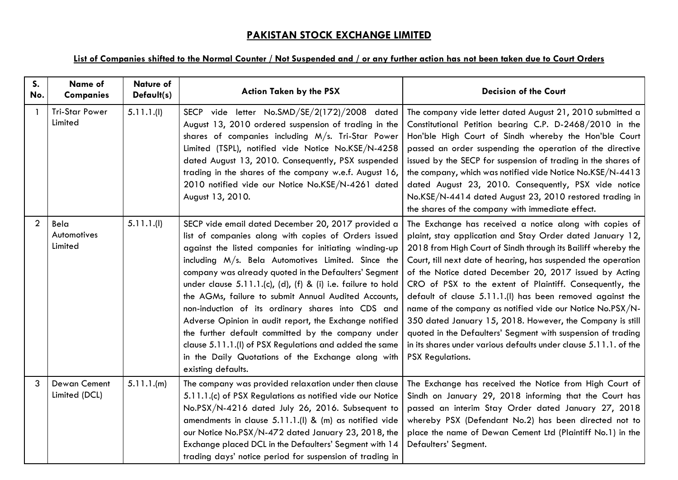## **PAKISTAN STOCK EXCHANGE LIMITED**

## **List of Companies shifted to the Normal Counter / Not Suspended and / or any further action has not been taken due to Court Orders**

| S <sub>1</sub><br>No. | Name of<br><b>Companies</b>      | <b>Nature of</b><br>Default(s) | <b>Action Taken by the PSX</b>                                                                                                                                                                                                                                                                                                                                                                                                                                                                                                                                                                                                                                                                                          | <b>Decision of the Court</b>                                                                                                                                                                                                                                                                                                                                                                                                                                                                                                                                                                                                                                                                                                       |
|-----------------------|----------------------------------|--------------------------------|-------------------------------------------------------------------------------------------------------------------------------------------------------------------------------------------------------------------------------------------------------------------------------------------------------------------------------------------------------------------------------------------------------------------------------------------------------------------------------------------------------------------------------------------------------------------------------------------------------------------------------------------------------------------------------------------------------------------------|------------------------------------------------------------------------------------------------------------------------------------------------------------------------------------------------------------------------------------------------------------------------------------------------------------------------------------------------------------------------------------------------------------------------------------------------------------------------------------------------------------------------------------------------------------------------------------------------------------------------------------------------------------------------------------------------------------------------------------|
|                       | <b>Tri-Star Power</b><br>Limited | 5.11.1(1)                      | SECP vide letter No.SMD/SE/2(172)/2008 dated<br>August 13, 2010 ordered suspension of trading in the<br>shares of companies including M/s. Tri-Star Power<br>Limited (TSPL), notified vide Notice No.KSE/N-4258<br>dated August 13, 2010. Consequently, PSX suspended<br>trading in the shares of the company w.e.f. August 16,<br>2010 notified vide our Notice No.KSE/N-4261 dated<br>August 13, 2010.                                                                                                                                                                                                                                                                                                                | The company vide letter dated August 21, 2010 submitted a<br>Constitutional Petition bearing C.P. D-2468/2010 in the<br>Hon'ble High Court of Sindh whereby the Hon'ble Court<br>passed an order suspending the operation of the directive<br>issued by the SECP for suspension of trading in the shares of<br>the company, which was notified vide Notice No.KSE/N-4413<br>dated August 23, 2010. Consequently, PSX vide notice<br>No.KSE/N-4414 dated August 23, 2010 restored trading in<br>the shares of the company with immediate effect.                                                                                                                                                                                    |
| $\overline{2}$        | Bela<br>Automotives<br>Limited   | 5.11.1(1)                      | SECP vide email dated December 20, 2017 provided a<br>list of companies along with copies of Orders issued<br>against the listed companies for initiating winding-up<br>including M/s. Bela Automotives Limited. Since the<br>company was already quoted in the Defaulters' Segment<br>under clause 5.11.1.(c), (d), (f) & (i) i.e. failure to hold<br>the AGMs, failure to submit Annual Audited Accounts,<br>non-induction of its ordinary shares into CDS and<br>Adverse Opinion in audit report, the Exchange notified<br>the further default committed by the company under<br>clause 5.11.1.(I) of PSX Regulations and added the same<br>in the Daily Quotations of the Exchange along with<br>existing defaults. | The Exchange has received a notice along with copies of<br>plaint, stay application and Stay Order dated January 12,<br>2018 from High Court of Sindh through its Bailiff whereby the<br>Court, till next date of hearing, has suspended the operation<br>of the Notice dated December 20, 2017 issued by Acting<br>CRO of PSX to the extent of Plaintiff. Consequently, the<br>default of clause 5.11.1.(I) has been removed against the<br>name of the company as notified vide our Notice No.PSX/N-<br>350 dated January 15, 2018. However, the Company is still<br>quoted in the Defaulters' Segment with suspension of trading<br>in its shares under various defaults under clause 5.11.1. of the<br><b>PSX Regulations.</b> |
| 3                     | Dewan Cement<br>Limited (DCL)    | 5.11.1.(m)                     | The company was provided relaxation under then clause<br>5.11.1.(c) of PSX Regulations as notified vide our Notice<br>No.PSX/N-4216 dated July 26, 2016. Subsequent to<br>amendments in clause 5.11.1.(I) & (m) as notified vide<br>our Notice No.PSX/N-472 dated January 23, 2018, the<br>Exchange placed DCL in the Defaulters' Segment with 14<br>trading days' notice period for suspension of trading in                                                                                                                                                                                                                                                                                                           | The Exchange has received the Notice from High Court of<br>Sindh on January 29, 2018 informing that the Court has<br>passed an interim Stay Order dated January 27, 2018<br>whereby PSX (Defendant No.2) has been directed not to<br>place the name of Dewan Cement Ltd (Plaintiff No.1) in the<br>Defaulters' Segment.                                                                                                                                                                                                                                                                                                                                                                                                            |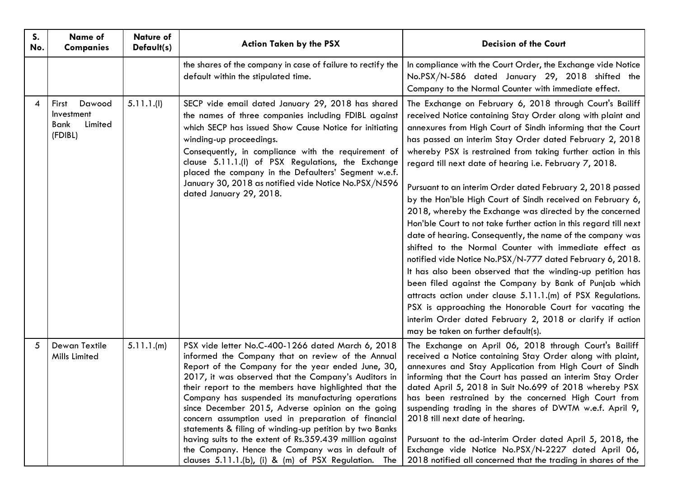| S.<br>No. | Name of<br><b>Companies</b>                                 | <b>Nature of</b><br>Default(s) | <b>Action Taken by the PSX</b>                                                                                                                                                                                                                                                                                                                                                                                                                                                                                                                                                                                                                                                     | <b>Decision of the Court</b>                                                                                                                                                                                                                                                                                                                                                                                                                                                                                                                                                                                                                                                                                                                                                                                                                                                                                                                                                                                                                                                                                                                                                         |
|-----------|-------------------------------------------------------------|--------------------------------|------------------------------------------------------------------------------------------------------------------------------------------------------------------------------------------------------------------------------------------------------------------------------------------------------------------------------------------------------------------------------------------------------------------------------------------------------------------------------------------------------------------------------------------------------------------------------------------------------------------------------------------------------------------------------------|--------------------------------------------------------------------------------------------------------------------------------------------------------------------------------------------------------------------------------------------------------------------------------------------------------------------------------------------------------------------------------------------------------------------------------------------------------------------------------------------------------------------------------------------------------------------------------------------------------------------------------------------------------------------------------------------------------------------------------------------------------------------------------------------------------------------------------------------------------------------------------------------------------------------------------------------------------------------------------------------------------------------------------------------------------------------------------------------------------------------------------------------------------------------------------------|
|           |                                                             |                                | the shares of the company in case of failure to rectify the<br>default within the stipulated time.                                                                                                                                                                                                                                                                                                                                                                                                                                                                                                                                                                                 | In compliance with the Court Order, the Exchange vide Notice<br>No.PSX/N-586 dated January 29, 2018 shifted the<br>Company to the Normal Counter with immediate effect.                                                                                                                                                                                                                                                                                                                                                                                                                                                                                                                                                                                                                                                                                                                                                                                                                                                                                                                                                                                                              |
| 4         | Dawood<br>First<br>Investment<br>Bank<br>Limited<br>(FDIBL) | 5.11.1(1)                      | SECP vide email dated January 29, 2018 has shared<br>the names of three companies including FDIBL against<br>which SECP has issued Show Cause Notice for initiating<br>winding-up proceedings.<br>Consequently, in compliance with the requirement of<br>clause 5.11.1.(I) of PSX Regulations, the Exchange<br>placed the company in the Defaulters' Segment w.e.f.<br>January 30, 2018 as notified vide Notice No.PSX/N596<br>dated January 29, 2018.                                                                                                                                                                                                                             | The Exchange on February 6, 2018 through Court's Bailiff<br>received Notice containing Stay Order along with plaint and<br>annexures from High Court of Sindh informing that the Court<br>has passed an interim Stay Order dated February 2, 2018<br>whereby PSX is restrained from taking further action in this<br>regard till next date of hearing i.e. February 7, 2018.<br>Pursuant to an interim Order dated February 2, 2018 passed<br>by the Hon'ble High Court of Sindh received on February 6,<br>2018, whereby the Exchange was directed by the concerned<br>Hon'ble Court to not take further action in this regard till next<br>date of hearing. Consequently, the name of the company was<br>shifted to the Normal Counter with immediate effect as<br>notified vide Notice No.PSX/N-777 dated February 6, 2018.<br>It has also been observed that the winding-up petition has<br>been filed against the Company by Bank of Punjab which<br>attracts action under clause 5.11.1.(m) of PSX Regulations.<br>PSX is approaching the Honorable Court for vacating the<br>interim Order dated February 2, 2018 or clarify if action<br>may be taken on further default(s). |
| 5         | Dewan Textile<br>Mills Limited                              | 5.11.1.(m)                     | PSX vide letter No.C-400-1266 dated March 6, 2018<br>informed the Company that on review of the Annual<br>Report of the Company for the year ended June, 30,<br>2017, it was observed that the Company's Auditors in<br>their report to the members have highlighted that the<br>Company has suspended its manufacturing operations<br>since December 2015, Adverse opinion on the going<br>concern assumption used in preparation of financial<br>statements & filing of winding-up petition by two Banks<br>having suits to the extent of Rs.359.439 million against<br>the Company. Hence the Company was in default of<br>clauses 5.11.1.(b), (i) & (m) of PSX Regulation. The | The Exchange on April 06, 2018 through Court's Bailiff<br>received a Notice containing Stay Order along with plaint,<br>annexures and Stay Application from High Court of Sindh<br>informing that the Court has passed an interim Stay Order<br>dated April 5, 2018 in Suit No.699 of 2018 whereby PSX<br>has been restrained by the concerned High Court from<br>suspending trading in the shares of DWTM w.e.f. April 9,<br>2018 till next date of hearing.<br>Pursuant to the ad-interim Order dated April 5, 2018, the<br>Exchange vide Notice No.PSX/N-2227 dated April 06,<br>2018 notified all concerned that the trading in shares of the                                                                                                                                                                                                                                                                                                                                                                                                                                                                                                                                    |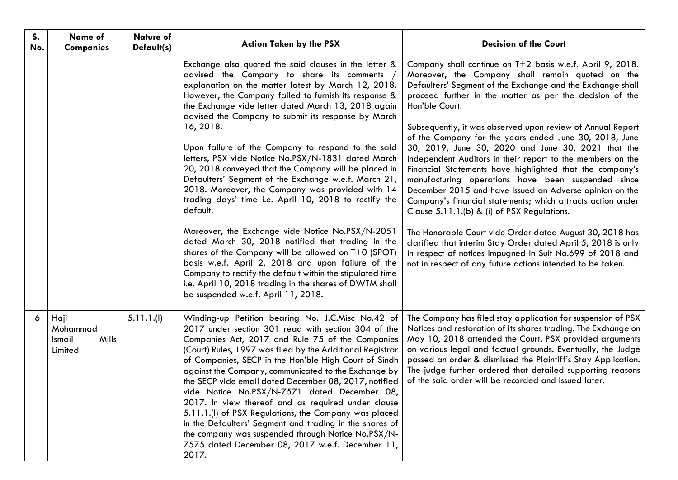| S.<br>No. | Name of<br><b>Companies</b>                    | <b>Nature of</b><br>Default(s) | <b>Action Taken by the PSX</b>                                                                                                                                                                                                                                                                                                                                                                                                                                                                                                                                                                                                                                                                                                                                                                                                                                                                                                                                                                                                                                                           | <b>Decision of the Court</b>                                                                                                                                                                                                                                                                                                                                                                                                                                                                                                                                                                                                                                                                                                                                                                                                                                                                                                                                                                                                                             |
|-----------|------------------------------------------------|--------------------------------|------------------------------------------------------------------------------------------------------------------------------------------------------------------------------------------------------------------------------------------------------------------------------------------------------------------------------------------------------------------------------------------------------------------------------------------------------------------------------------------------------------------------------------------------------------------------------------------------------------------------------------------------------------------------------------------------------------------------------------------------------------------------------------------------------------------------------------------------------------------------------------------------------------------------------------------------------------------------------------------------------------------------------------------------------------------------------------------|----------------------------------------------------------------------------------------------------------------------------------------------------------------------------------------------------------------------------------------------------------------------------------------------------------------------------------------------------------------------------------------------------------------------------------------------------------------------------------------------------------------------------------------------------------------------------------------------------------------------------------------------------------------------------------------------------------------------------------------------------------------------------------------------------------------------------------------------------------------------------------------------------------------------------------------------------------------------------------------------------------------------------------------------------------|
|           |                                                |                                | Exchange also quoted the said clauses in the letter &<br>advised the Company to share its comments,<br>explanation on the matter latest by March 12, 2018.<br>However, the Company failed to furnish its response &<br>the Exchange vide letter dated March 13, 2018 again<br>advised the Company to submit its response by March<br>16, 2018.<br>Upon failure of the Company to respond to the said<br>letters, PSX vide Notice No.PSX/N-1831 dated March<br>20, 2018 conveyed that the Company will be placed in<br>Defaulters' Segment of the Exchange w.e.f. March 21,<br>2018. Moreover, the Company was provided with 14<br>trading days' time i.e. April 10, 2018 to rectify the<br>default.<br>Moreover, the Exchange vide Notice No.PSX/N-2051<br>dated March 30, 2018 notified that trading in the<br>shares of the Company will be allowed on T+0 (SPOT)<br>basis w.e.f. April 2, 2018 and upon failure of the<br>Company to rectify the default within the stipulated time<br>i.e. April 10, 2018 trading in the shares of DWTM shall<br>be suspended w.e.f. April 11, 2018. | Company shall continue on T+2 basis w.e.f. April 9, 2018.<br>Moreover, the Company shall remain quoted on the<br>Defaulters' Segment of the Exchange and the Exchange shall<br>proceed further in the matter as per the decision of the<br>Hon'ble Court.<br>Subsequently, it was observed upon review of Annual Report<br>of the Company for the years ended June 30, 2018, June<br>30, 2019, June 30, 2020 and June 30, 2021 that the<br>Independent Auditors in their report to the members on the<br>Financial Statements have highlighted that the company's<br>manufacturing operations have been suspended since<br>December 2015 and have issued an Adverse opinion on the<br>Company's financial statements; which attracts action under<br>Clause 5.11.1.(b) & (i) of PSX Regulations.<br>The Honorable Court vide Order dated August 30, 2018 has<br>clarified that interim Stay Order dated April 5, 2018 is only<br>in respect of notices impugned in Suit No.699 of 2018 and<br>not in respect of any future actions intended to be taken. |
| 6         | Haji<br>Mohammad<br>Mills<br>Ismail<br>Limited | 5.11.1(1)                      | Winding-up Petition bearing No. J.C.Misc No.42 of<br>2017 under section 301 read with section 304 of the<br>Companies Act, 2017 and Rule 75 of the Companies<br>(Court) Rules, 1997 was filed by the Additional Registrar<br>of Companies, SECP in the Hon'ble High Court of Sindh<br>against the Company, communicated to the Exchange by<br>the SECP vide email dated December 08, 2017, notified<br>vide Notice No.PSX/N-7571 dated December 08,<br>2017. In view thereof and as required under clause<br>5.11.1.(I) of PSX Regulations, the Company was placed<br>in the Defaulters' Segment and trading in the shares of<br>the company was suspended through Notice No.PSX/N-<br>7575 dated December 08, 2017 w.e.f. December 11,<br>2017.                                                                                                                                                                                                                                                                                                                                         | The Company has filed stay application for suspension of PSX<br>Notices and restoration of its shares trading. The Exchange on<br>May 10, 2018 attended the Court. PSX provided arguments<br>on various legal and factual grounds. Eventually, the Judge<br>passed an order & dismissed the Plaintiff's Stay Application.<br>The judge further ordered that detailed supporting reasons<br>of the said order will be recorded and issued later.                                                                                                                                                                                                                                                                                                                                                                                                                                                                                                                                                                                                          |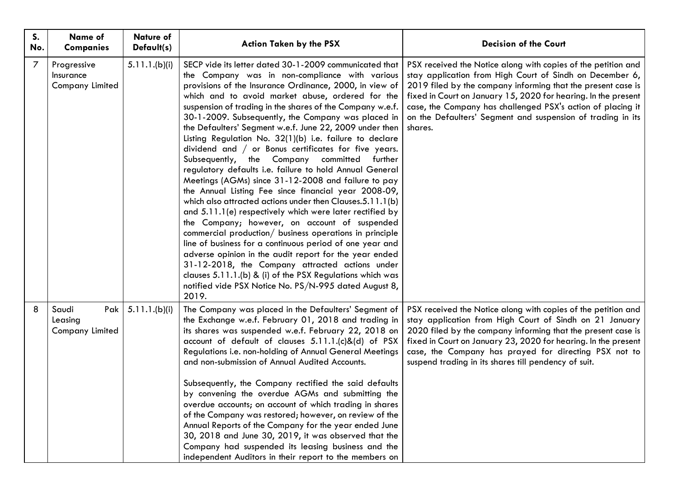| S.<br>No. | Name of<br><b>Companies</b>                         | <b>Nature of</b><br>Default(s) | <b>Action Taken by the PSX</b>                                                                                                                                                                                                                                                                                                                                                                                                                                                                                                                                                                                                                                                                                                                                                                                                                                                                                                                                                                                                                                                                                                                                                                                                                                                                 | <b>Decision of the Court</b>                                                                                                                                                                                                                                                                                                                                                                         |
|-----------|-----------------------------------------------------|--------------------------------|------------------------------------------------------------------------------------------------------------------------------------------------------------------------------------------------------------------------------------------------------------------------------------------------------------------------------------------------------------------------------------------------------------------------------------------------------------------------------------------------------------------------------------------------------------------------------------------------------------------------------------------------------------------------------------------------------------------------------------------------------------------------------------------------------------------------------------------------------------------------------------------------------------------------------------------------------------------------------------------------------------------------------------------------------------------------------------------------------------------------------------------------------------------------------------------------------------------------------------------------------------------------------------------------|------------------------------------------------------------------------------------------------------------------------------------------------------------------------------------------------------------------------------------------------------------------------------------------------------------------------------------------------------------------------------------------------------|
| 7         | Progressive<br>Insurance<br><b>Company Limited</b>  | 5.11.1.(b)(i)                  | SECP vide its letter dated 30-1-2009 communicated that<br>the Company was in non-compliance with various<br>provisions of the Insurance Ordinance, 2000, in view of<br>which and to avoid market abuse, ordered for the<br>suspension of trading in the shares of the Company w.e.f.<br>30-1-2009. Subsequently, the Company was placed in<br>the Defaulters' Segment w.e.f. June 22, 2009 under then<br>Listing Regulation No. 32(1)(b) i.e. failure to declare<br>dividend and / or Bonus certificates for five years.<br>Subsequently, the Company committed further<br>regulatory defaults i.e. failure to hold Annual General<br>Meetings (AGMs) since 31-12-2008 and failure to pay<br>the Annual Listing Fee since financial year 2008-09,<br>which also attracted actions under then Clauses.5.11.1(b)<br>and 5.11.1(e) respectively which were later rectified by<br>the Company; however, on account of suspended<br>commercial production/ business operations in principle<br>line of business for a continuous period of one year and<br>adverse opinion in the audit report for the year ended<br>31-12-2018, the Company attracted actions under<br>clauses 5.11.1.(b) & (i) of the PSX Regulations which was<br>notified vide PSX Notice No. PS/N-995 dated August 8,<br>2019. | PSX received the Notice along with copies of the petition and<br>stay application from High Court of Sindh on December 6,<br>2019 filed by the company informing that the present case is<br>fixed in Court on January 15, 2020 for hearing. In the present<br>case, the Company has challenged PSX's action of placing it<br>on the Defaulters' Segment and suspension of trading in its<br>shares. |
| 8         | Saudi<br>Pak  <br>Leasing<br><b>Company Limited</b> | 5.11.1.(b)(i)                  | The Company was placed in the Defaulters' Segment of<br>the Exchange w.e.f. February 01, 2018 and trading in<br>its shares was suspended w.e.f. February 22, 2018 on<br>account of default of clauses 5.11.1.(c)&(d) of PSX<br>Regulations i.e. non-holding of Annual General Meetings<br>and non-submission of Annual Audited Accounts.<br>Subsequently, the Company rectified the said defaults<br>by convening the overdue AGMs and submitting the<br>overdue accounts; on account of which trading in shares<br>of the Company was restored; however, on review of the<br>Annual Reports of the Company for the year ended June<br>30, 2018 and June 30, 2019, it was observed that the<br>Company had suspended its leasing business and the<br>independent Auditors in their report to the members on                                                                                                                                                                                                                                                                                                                                                                                                                                                                                    | PSX received the Notice along with copies of the petition and<br>stay application from High Court of Sindh on 21 January<br>2020 filed by the company informing that the present case is<br>fixed in Court on January 23, 2020 for hearing. In the present<br>case, the Company has prayed for directing PSX not to<br>suspend trading in its shares till pendency of suit.                          |